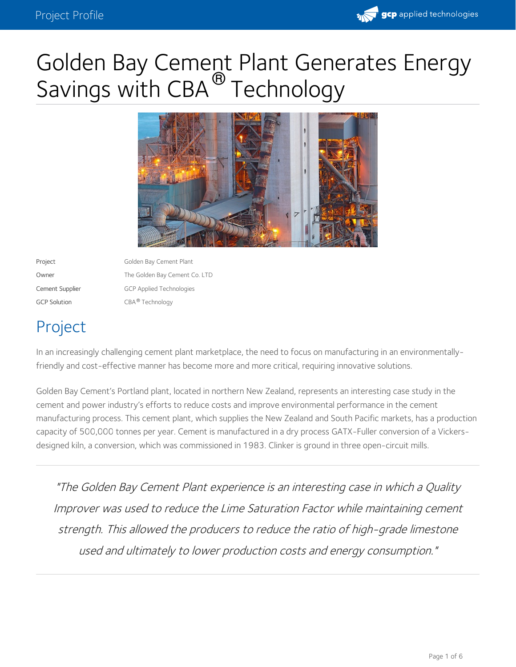

# Golden Bay Cement Plant Generates Energy Savings with CBA<sup>®</sup> Technology



Project **Golden Bay Cement Plant** Owner The Golden Bay Cement Co. LTD Cement Supplier GCP Applied Technologies GCP Solution CBA® Technology

# Project

In an increasingly challenging cement plant marketplace, the need to focus on manufacturing in an environmentallyfriendly and cost-effective manner has become more and more critical, requiring innovative solutions.

Golden Bay Cement's Portland plant, located in northern New Zealand, represents an interesting case study in the cement and power industry's efforts to reduce costs and improve environmental performance in the cement manufacturing process. This cement plant, which supplies the New Zealand and South Pacific markets, has a production capacity of 500,000 tonnes per year. Cement is manufactured in a dry process GATX-Fuller conversion of a Vickers designed kiln, a conversion, which was commissioned in 1983. Clinker is ground in three open-circuit mills.

"The Golden Bay Cement Plant experience is an interesting case in which <sup>a</sup> Quality Improver was used to reduce the Lime Saturation Factor while maintaining cement strength. This allowed the producers to reduce the ratio of high-grade limestone used and ultimately to lower production costs and energy consumption."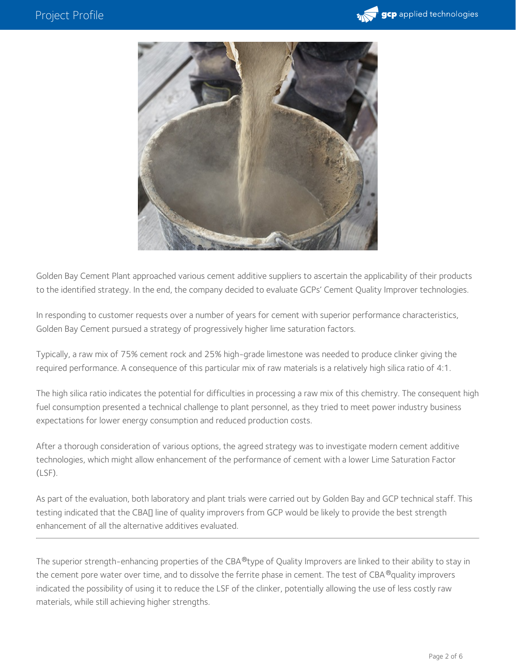



Golden Bay Cement Plant approached various cement additive suppliers to ascertain the applicability of their products to the identified strategy. In the end, the company decided to evaluate GCPs' Cement Quality Improver technologies.

In responding to customer requests over a number of years for cement with superior performance characteristics, Golden Bay Cement pursued a strategy of progressively higher lime saturation factors.

Typically, a raw mix of 75% cement rock and 25% high-grade limestone was needed to produce clinker giving the required performance. A consequence of this particular mix of raw materials is a relatively high silica ratio of 4:1.

The high silica ratio indicates the potential for difficulties in processing a raw mix of this chemistry. The consequent high fuel consumption presented a technical challenge to plant personnel, as they tried to meet power industry business expectations for lower energy consumption and reduced production costs.

After a thorough consideration of various options, the agreed strategy was to investigate modern cement additive technologies, which might allow enhancement of the performance of cement with a lower Lime Saturation Factor (LSF).

As part of the evaluation, both laboratory and plant trials were carried out by Golden Bay and GCP technical staff. This testing indicated that the CBAI line of quality improvers from GCP would be likely to provide the best strength enhancement of all the alternative additives evaluated.

The superior strength-enhancing properties of the CBA®type of Quality Improvers are linked to their ability to stay in the cement pore water over time, and to dissolve the ferrite phase in cement. The test of CBA ®quality improvers indicated the possibility of using it to reduce the LSF of the clinker, potentially allowing the use of less costly raw materials, while still achieving higher strengths.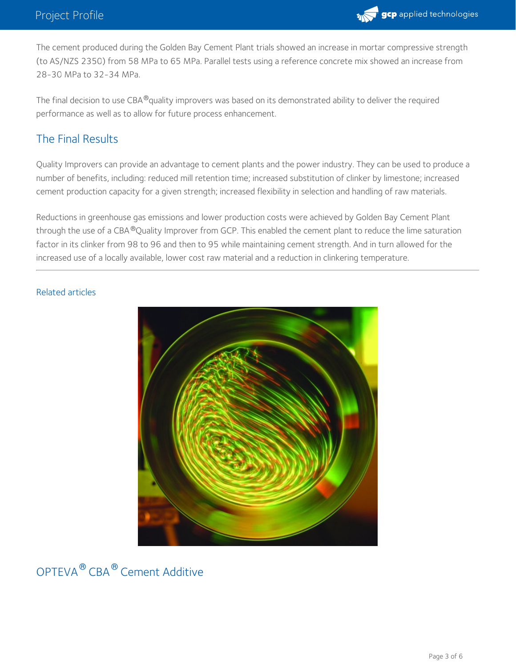

The cement produced during the Golden Bay Cement Plant trials showed an increase in mortar compressive strength (to AS/NZS 2350) from 58 MPa to 65 MPa. Parallel tests using a reference concrete mix showed an increase from 28-30 MPa to 32-34 MPa.

The final decision to use CBA®quality improvers was based on its demonstrated ability to deliver the required performance as well as to allow for future process enhancement.

### The Final Results

Quality Improvers can provide an advantage to cement plants and the power industry. They can be used to produce a number of benefits, including: reduced mill retention time; increased substitution of clinker by limestone; increased cement production capacity for a given strength; increased flexibility in selection and handling of raw materials.

Reductions in greenhouse gas emissions and lower production costs were achieved by Golden Bay Cement Plant through the use of a CBA ®Quality Improver from GCP. This enabled the cement plant to reduce the lime saturation factor in its clinker from 98 to 96 and then to 95 while maintaining cement strength. And in turn allowed for the increased use of a locally available, lower cost raw material and a reduction in clinkering temperature.

#### Related articles



OPTEVA<sup>®</sup> CBA® Cement Additive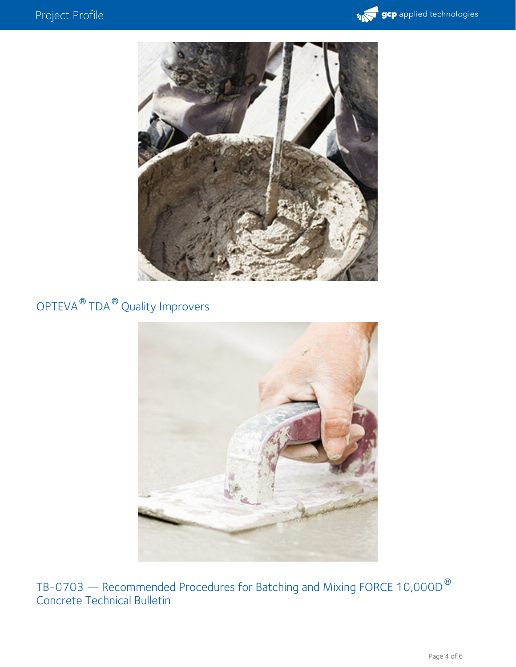



## OPTEVA  $^\circledR$  TDA  $^\circledR$  Quality Improvers



TB-0703 — Recommended Procedures for Batching and Mixing FORCE 10,000D Concrete Technical Bulletin ®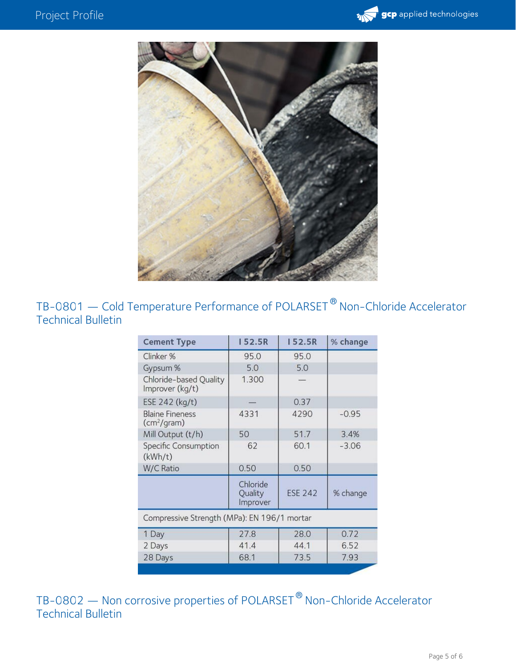



TB-0801 — Cold Temperature Performance of POLARSET  $^\circledR$  Non-Chloride Accelerator Technical Bulletin

| <b>Cement Type</b>                                | <b>152.5R</b>                   | 152.5R         | % change |
|---------------------------------------------------|---------------------------------|----------------|----------|
| Clinker %                                         | 95.0                            | 95.0           |          |
| Gypsum %                                          | 5.0                             | 5.0            |          |
| Chloride-based Quality<br>Improver (kg/t)         | 1.300                           |                |          |
| ESE 242 (kg/t)                                    |                                 | 0.37           |          |
| <b>Blaine Fineness</b><br>(cm <sup>2</sup> /gram) | 4331                            | 4290           | $-0.95$  |
| Mill Output (t/h)                                 | 50                              | 51.7           | 3.4%     |
| <b>Specific Consumption</b><br>(kWh/t)            | 62                              | 60.1           | $-3.06$  |
| W/C Ratio                                         | 0.50                            | 0.50           |          |
|                                                   | Chloride<br>Quality<br>Improver | <b>ESE 242</b> | % change |
| Compressive Strength (MPa): EN 196/1 mortar       |                                 |                |          |
| 1 Day                                             | 27.8                            | 28.0           | 0.72     |
| 2 Days                                            | 41.4                            | 44.1           | 6.52     |
| 28 Days                                           | 68.1                            | 73.5           | 7.93     |
|                                                   |                                 |                |          |

TB-0802 — Non corrosive properties of POLARSET<sup>®</sup> Non-Chloride Accelerator Technical Bulletin